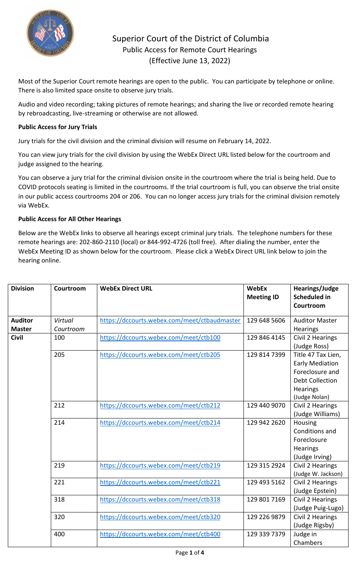

## Superior Court of the District of Columbia Public Access for Remote Court Hearings (Effective June 13, 2022)

Most of the Superior Court remote hearings are open to the public. You can participate by telephone or online. There is also limited space onsite to observe jury trials.

Audio and video recording; taking pictures of remote hearings; and sharing the live or recorded remote hearing by rebroadcasting, live-streaming or otherwise are not allowed.

## **Public Access for Jury Trials**

Jury trials for the civil division and the criminal division will resume on February 14, 2022.

You can view jury trials for the civil division by using the WebEx Direct URL listed below for the courtroom and judge assigned to the hearing.

You can observe a jury trial for the criminal division onsite in the courtroom where the trial is being held. Due to COVID protocols seating is limited in the courtrooms. If the trial courtroom is full, you can observe the trial onsite in our public access courtrooms 204 or 206. You can no longer access jury trials for the criminal division remotely via WebEx.

## **Public Access for All Other Hearings**

Below are the WebEx links to observe all hearings except criminal jury trials. The telephone numbers for these remote hearings are: 202-860-2110 (local) or 844-992-4726 (toll free). After dialing the number, enter the WebEx Meeting ID as shown below for the courtroom. Please click a WebEx Direct URL link below to join the hearing online.

| <b>Division</b> | Courtroom | <b>WebEx Direct URL</b>                      | <b>WebEx</b><br><b>Meeting ID</b> | <b>Hearings/Judge</b><br><b>Scheduled in</b><br>Courtroom                                                              |
|-----------------|-----------|----------------------------------------------|-----------------------------------|------------------------------------------------------------------------------------------------------------------------|
| <b>Auditor</b>  | Virtual   | https://dccourts.webex.com/meet/ctbaudmaster | 129 648 5606                      | <b>Auditor Master</b>                                                                                                  |
| <b>Master</b>   | Courtroom |                                              |                                   | Hearings                                                                                                               |
| <b>Civil</b>    | 100       | https://dccourts.webex.com/meet/ctb100       | 129 846 4145                      | Civil 2 Hearings<br>(Judge Ross)                                                                                       |
|                 | 205       | https://dccourts.webex.com/meet/ctb205       | 129 814 7399                      | Title 47 Tax Lien,<br><b>Early Mediation</b><br>Foreclosure and<br><b>Debt Collection</b><br>Hearings<br>(Judge Nolan) |
|                 | 212       | https://dccourts.webex.com/meet/ctb212       | 129 440 9070                      | Civil 2 Hearings<br>(Judge Williams)                                                                                   |
|                 | 214       | https://dccourts.webex.com/meet/ctb214       | 129 942 2620                      | Housing<br>Conditions and<br>Foreclosure<br>Hearings<br>(Judge Irving)                                                 |
|                 | 219       | https://dccourts.webex.com/meet/ctb219       | 129 315 2924                      | Civil 2 Hearings<br>(Judge W. Jackson)                                                                                 |
|                 | 221       | https://dccourts.webex.com/meet/ctb221       | 129 493 5162                      | Civil 2 Hearings<br>(Judge Epstein)                                                                                    |
|                 | 318       | https://dccourts.webex.com/meet/ctb318       | 129 801 7169                      | Civil 2 Hearings<br>(Judge Puig-Lugo)                                                                                  |
|                 | 320       | https://dccourts.webex.com/meet/ctb320       | 129 226 9879                      | Civil 2 Hearings<br>(Judge Rigsby)                                                                                     |
|                 | 400       | https://dccourts.webex.com/meet/ctb400       | 129 339 7379                      | Judge in<br>Chambers                                                                                                   |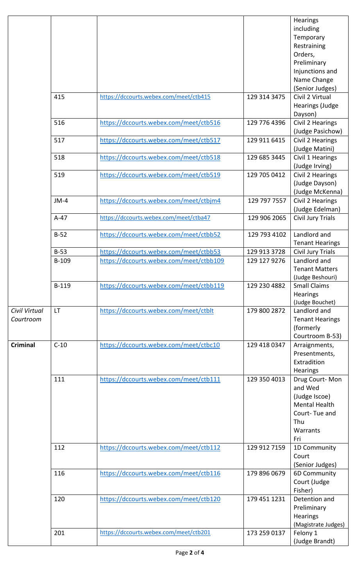|                 |           |                                         |              | Hearings                                |
|-----------------|-----------|-----------------------------------------|--------------|-----------------------------------------|
|                 |           |                                         |              | including                               |
|                 |           |                                         |              | Temporary                               |
|                 |           |                                         |              | Restraining                             |
|                 |           |                                         |              | Orders,                                 |
|                 |           |                                         |              | Preliminary                             |
|                 |           |                                         |              | Injunctions and                         |
|                 |           |                                         |              | Name Change                             |
|                 |           |                                         |              | (Senior Judges)                         |
|                 | 415       | https://dccourts.webex.com/meet/ctb415  | 129 314 3475 | Civil 2 Virtual                         |
|                 |           |                                         |              | Hearings (Judge                         |
|                 |           |                                         |              | Dayson)                                 |
|                 | 516       | https://dccourts.webex.com/meet/ctb516  | 129 776 4396 | Civil 2 Hearings                        |
|                 |           |                                         |              | (Judge Pasichow)                        |
|                 | 517       | https://dccourts.webex.com/meet/ctb517  | 129 911 6415 | Civil 2 Hearings                        |
|                 |           |                                         |              | (Judge Matini)                          |
|                 | 518       | https://dccourts.webex.com/meet/ctb518  | 129 685 3445 | Civil 1 Hearings<br>(Judge Irving)      |
|                 | 519       | https://dccourts.webex.com/meet/ctb519  | 129 705 0412 | Civil 2 Hearings                        |
|                 |           |                                         |              | (Judge Dayson)                          |
|                 |           |                                         |              | (Judge McKenna)                         |
|                 | $JM-4$    | https://dccourts.webex.com/meet/ctbjm4  | 129 797 7557 | Civil 2 Hearings                        |
|                 |           |                                         |              | (Judge Edelman)                         |
|                 | $A-47$    | https://dccourts.webex.com/meet/ctba47  | 129 906 2065 | Civil Jury Trials                       |
|                 |           |                                         |              |                                         |
|                 | $B-52$    | https://dccourts.webex.com/meet/ctbb52  | 129 793 4102 | Landlord and                            |
|                 |           |                                         |              | <b>Tenant Hearings</b>                  |
|                 | $B-53$    | https://dccourts.webex.com/meet/ctbb53  | 129 913 3728 | Civil Jury Trials                       |
|                 | B-109     | https://dccourts.webex.com/meet/ctbb109 | 129 127 9276 | Landlord and                            |
|                 |           |                                         |              | <b>Tenant Matters</b>                   |
|                 | B-119     | https://dccourts.webex.com/meet/ctbb119 | 129 230 4882 | (Judge Beshouri)<br><b>Small Claims</b> |
|                 |           |                                         |              | <b>Hearings</b>                         |
|                 |           |                                         |              | (Judge Bouchet)                         |
| Civil Virtual   | <b>LT</b> | https://dccourts.webex.com/meet/ctblt   | 179 800 2872 | Landlord and                            |
| Courtroom       |           |                                         |              | <b>Tenant Hearings</b>                  |
|                 |           |                                         |              | (formerly                               |
|                 |           |                                         |              | Courtroom B-53)                         |
| <b>Criminal</b> | $C-10$    | https://dccourts.webex.com/meet/ctbc10  | 129 418 0347 | Arraignments,                           |
|                 |           |                                         |              | Presentments,                           |
|                 |           |                                         |              | Extradition                             |
|                 |           |                                         |              | <b>Hearings</b>                         |
|                 | 111       | https://dccourts.webex.com/meet/ctb111  | 129 350 4013 | Drug Court-Mon                          |
|                 |           |                                         |              | and Wed                                 |
|                 |           |                                         |              | (Judge Iscoe)                           |
|                 |           |                                         |              | Mental Health                           |
|                 |           |                                         |              | Court-Tue and<br>Thu                    |
|                 |           |                                         |              | Warrants                                |
|                 |           |                                         |              | Fri                                     |
|                 | 112       | https://dccourts.webex.com/meet/ctb112  | 129 912 7159 | 1D Community                            |
|                 |           |                                         |              | Court                                   |
|                 |           |                                         |              | (Senior Judges)                         |
|                 | 116       | https://dccourts.webex.com/meet/ctb116  | 179 896 0679 | 6D Community                            |
|                 |           |                                         |              | Court (Judge                            |
|                 |           |                                         |              | Fisher)                                 |
|                 | 120       | https://dccourts.webex.com/meet/ctb120  | 179 451 1231 | Detention and                           |
|                 |           |                                         |              | Preliminary                             |
|                 |           |                                         |              | Hearings                                |
|                 |           |                                         |              | (Magistrate Judges)                     |
|                 | 201       | https://dccourts.webex.com/meet/ctb201  | 173 259 0137 | Felony 1<br>(Judge Brandt)              |
|                 |           |                                         |              |                                         |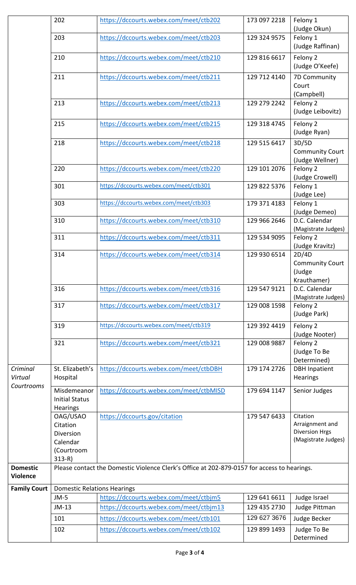|                                    | 202                                                                      | https://dccourts.webex.com/meet/ctb202                                                      | 173 097 2218 | Felony 1<br>(Judge Okun)                                                    |
|------------------------------------|--------------------------------------------------------------------------|---------------------------------------------------------------------------------------------|--------------|-----------------------------------------------------------------------------|
|                                    | 203                                                                      | https://dccourts.webex.com/meet/ctb203                                                      | 129 324 9575 | Felony 1<br>(Judge Raffinan)                                                |
|                                    | 210                                                                      | https://dccourts.webex.com/meet/ctb210                                                      | 129 816 6617 | Felony 2<br>(Judge O'Keefe)                                                 |
|                                    | 211                                                                      | https://dccourts.webex.com/meet/ctb211                                                      | 129 712 4140 | 7D Community<br>Court<br>(Campbell)                                         |
|                                    | 213                                                                      | https://dccourts.webex.com/meet/ctb213                                                      | 129 279 2242 | Felony 2<br>(Judge Leibovitz)                                               |
|                                    | 215                                                                      | https://dccourts.webex.com/meet/ctb215                                                      | 129 318 4745 | Felony 2<br>(Judge Ryan)                                                    |
|                                    | 218                                                                      | https://dccourts.webex.com/meet/ctb218                                                      | 129 515 6417 | 3D/5D<br><b>Community Court</b><br>(Judge Wellner)                          |
|                                    | 220                                                                      | https://dccourts.webex.com/meet/ctb220                                                      | 129 101 2076 | Felony 2<br>(Judge Crowell)                                                 |
|                                    | 301                                                                      | https://dccourts.webex.com/meet/ctb301                                                      | 129 822 5376 | Felony 1<br>(Judge Lee)                                                     |
|                                    | 303                                                                      | https://dccourts.webex.com/meet/ctb303                                                      | 179 371 4183 | Felony 1<br>(Judge Demeo)                                                   |
|                                    | 310                                                                      | https://dccourts.webex.com/meet/ctb310                                                      | 129 966 2646 | D.C. Calendar<br>(Magistrate Judges)                                        |
|                                    | 311                                                                      | https://dccourts.webex.com/meet/ctb311                                                      | 129 534 9095 | Felony 2<br>(Judge Kravitz)                                                 |
|                                    | 314                                                                      | https://dccourts.webex.com/meet/ctb314                                                      | 129 930 6514 | 2D/4D<br><b>Community Court</b><br>(Judge<br>Krauthamer)                    |
|                                    | 316                                                                      | https://dccourts.webex.com/meet/ctb316                                                      | 129 547 9121 | D.C. Calendar<br>(Magistrate Judges)                                        |
|                                    | 317                                                                      | https://dccourts.webex.com/meet/ctb317                                                      | 129 008 1598 | Felony 2<br>(Judge Park)                                                    |
|                                    | 319                                                                      | https://dccourts.webex.com/meet/ctb319                                                      | 129 392 4419 | Felony 2<br>(Judge Nooter)                                                  |
|                                    | 321                                                                      | https://dccourts.webex.com/meet/ctb321                                                      | 129 008 9887 | Felony 2<br>(Judge To Be<br>Determined)                                     |
| Criminal<br>Virtual<br>Courtrooms  | St. Elizabeth's<br>Hospital                                              | https://dccourts.webex.com/meet/ctbDBH                                                      | 179 174 2726 | <b>DBH Inpatient</b><br>Hearings                                            |
|                                    | Misdemeanor<br><b>Initial Status</b><br>Hearings                         | https://dccourts.webex.com/meet/ctbMISD                                                     | 179 694 1147 | Senior Judges                                                               |
|                                    | OAG/USAO<br>Citation<br>Diversion<br>Calendar<br>(Courtroom<br>$313 - R$ | https://dccourts.gov/citation                                                               | 179 547 6433 | Citation<br>Arraignment and<br><b>Diversion Hrgs</b><br>(Magistrate Judges) |
| <b>Domestic</b><br><b>Violence</b> |                                                                          | Please contact the Domestic Violence Clerk's Office at 202-879-0157 for access to hearings. |              |                                                                             |
| <b>Family Court</b>                | <b>Domestic Relations Hearings</b>                                       |                                                                                             |              |                                                                             |
|                                    | $JM-5$                                                                   | https://dccourts.webex.com/meet/ctbjm5                                                      | 129 641 6611 | Judge Israel                                                                |
|                                    | $JM-13$                                                                  | https://dccourts.webex.com/meet/ctbjm13                                                     | 129 435 2730 | Judge Pittman                                                               |
|                                    | 101                                                                      | https://dccourts.webex.com/meet/ctb101                                                      | 129 627 3676 | Judge Becker                                                                |
|                                    | 102                                                                      | https://dccourts.webex.com/meet/ctb102                                                      | 129 899 1493 | Judge To Be                                                                 |
|                                    |                                                                          |                                                                                             |              | Determined                                                                  |